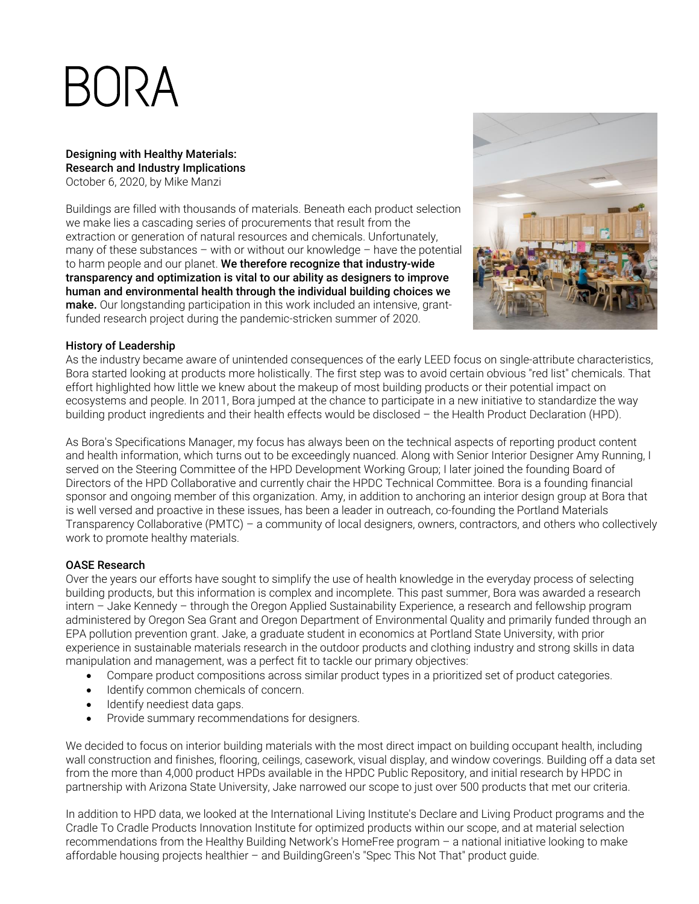# BORA

Designing with Healthy Materials: Research and Industry Implications October 6, 2020, by Mike Manzi

Buildings are filled with thousands of materials. Beneath each product selection we make lies a cascading series of procurements that result from the extraction or generation of natural resources and chemicals. Unfortunately, many of these substances – with or without our knowledge – have the potential to harm people and our planet. We therefore recognize that industry-wide transparency and optimization is vital to our ability as designers to improve human and environmental health through the individual building choices we make. Our longstanding participation in this work included an intensive, grantfunded research project during the pandemic-stricken summer of 2020.



## History of Leadership

As the industry became aware of unintended consequences of the early LEED focus on single-attribute characteristics, Bora started looking at products more holistically. The first step was to avoid certain obvious "red list" chemicals. That effort highlighted how little we knew about the makeup of most building products or their potential impact on ecosystems and people. In 2011, Bora jumped at the chance to participate in a new initiative to standardize the way building product ingredients and their health effects would be disclosed – the Health Product Declaration (HPD).

As Bora's Specifications Manager, my focus has always been on the technical aspects of reporting product content and health information, which turns out to be exceedingly nuanced. Along with Senior Interior Designer Amy Running, I served on the Steering Committee of the HPD Development Working Group; I later joined the founding Board of Directors of the HPD Collaborative and currently chair the HPDC Technical Committee. Bora is a founding financial sponsor and ongoing member of this organization. Amy, in addition to anchoring an interior design group at Bora that is well versed and proactive in these issues, has been a leader in outreach, co-founding the Portland Materials Transparency Collaborative (PMTC) – a community of local designers, owners, contractors, and others who collectively work to promote healthy materials.

## OASE Research

Over the years our efforts have sought to simplify the use of health knowledge in the everyday process of selecting building products, but this information is complex and incomplete. This past summer, Bora was awarded a research intern – Jake Kennedy – through the Oregon Applied Sustainability Experience, a research and fellowship program administered by Oregon Sea Grant and Oregon Department of Environmental Quality and primarily funded through an EPA pollution prevention grant. Jake, a graduate student in economics at Portland State University, with prior experience in sustainable materials research in the outdoor products and clothing industry and strong skills in data manipulation and management, was a perfect fit to tackle our primary objectives:

- Compare product compositions across similar product types in a prioritized set of product categories.
- Identify common chemicals of concern.
- Identify neediest data gaps.
- Provide summary recommendations for designers.

We decided to focus on interior building materials with the most direct impact on building occupant health, including wall construction and finishes, flooring, ceilings, casework, visual display, and window coverings. Building off a data set from the more than 4,000 product HPDs available in the HPDC Public Repository, and initial research by HPDC in partnership with Arizona State University, Jake narrowed our scope to just over 500 products that met our criteria.

In addition to HPD data, we looked at the International Living Institute's Declare and Living Product programs and the Cradle To Cradle Products Innovation Institute for optimized products within our scope, and at material selection recommendations from the Healthy Building Network's HomeFree program – a national initiative looking to make affordable housing projects healthier – and BuildingGreen's "Spec This Not That" product guide.